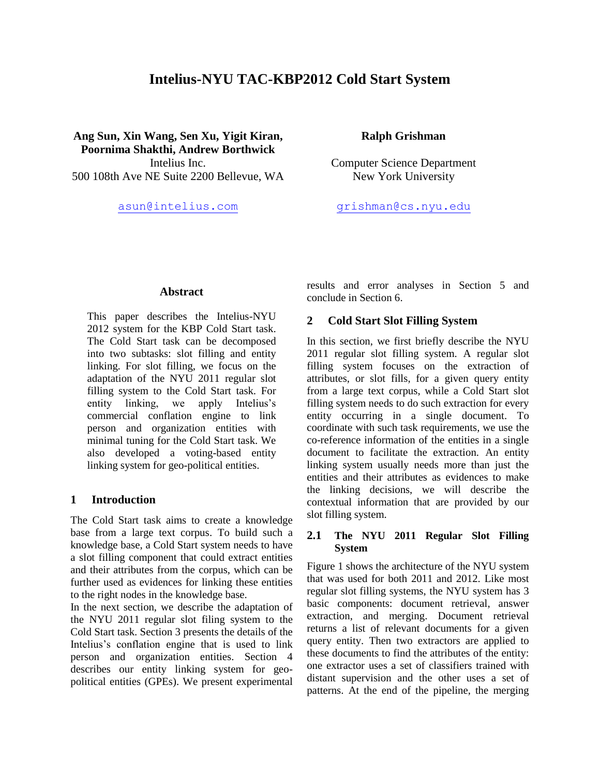# **Intelius-NYU TAC-KBP2012 Cold Start System**

**Ang Sun, Xin Wang, Sen Xu, Yigit Kiran, Poornima Shakthi, Andrew Borthwick** 500 108th Ave NE Suite 2200 Bellevue, WA New York University

### **Ralph Grishman**

Intelius Inc. Computer Science Department

[asun@intelius.com](mailto:asun@intelius.com) [grishman@cs.nyu.edu](mailto:grishman@cs.nyu.edu)

#### **Abstract**

This paper describes the Intelius-NYU 2012 system for the KBP Cold Start task. The Cold Start task can be decomposed into two subtasks: slot filling and entity linking. For slot filling, we focus on the adaptation of the NYU 2011 regular slot filling system to the Cold Start task. For entity linking, we apply Intelius's commercial conflation engine to link person and organization entities with minimal tuning for the Cold Start task. We also developed a voting-based entity linking system for geo-political entities.

### **1 Introduction**

The Cold Start task aims to create a knowledge base from a large text corpus. To build such a knowledge base, a Cold Start system needs to have a slot filling component that could extract entities and their attributes from the corpus, which can be further used as evidences for linking these entities to the right nodes in the knowledge base.

In the next section, we describe the adaptation of the NYU 2011 regular slot filing system to the Cold Start task. Section 3 presents the details of the Intelius's conflation engine that is used to link person and organization entities. Section 4 describes our entity linking system for geopolitical entities (GPEs). We present experimental results and error analyses in Section 5 and conclude in Section 6.

### **2 Cold Start Slot Filling System**

In this section, we first briefly describe the NYU 2011 regular slot filling system. A regular slot filling system focuses on the extraction of attributes, or slot fills, for a given query entity from a large text corpus, while a Cold Start slot filling system needs to do such extraction for every entity occurring in a single document. To coordinate with such task requirements, we use the co-reference information of the entities in a single document to facilitate the extraction. An entity linking system usually needs more than just the entities and their attributes as evidences to make the linking decisions, we will describe the contextual information that are provided by our slot filling system.

# **2.1 The NYU 2011 Regular Slot Filling System**

Figure 1 shows the architecture of the NYU system that was used for both 2011 and 2012. Like most regular slot filling systems, the NYU system has 3 basic components: document retrieval, answer extraction, and merging. Document retrieval returns a list of relevant documents for a given query entity. Then two extractors are applied to these documents to find the attributes of the entity: one extractor uses a set of classifiers trained with distant supervision and the other uses a set of patterns. At the end of the pipeline, the merging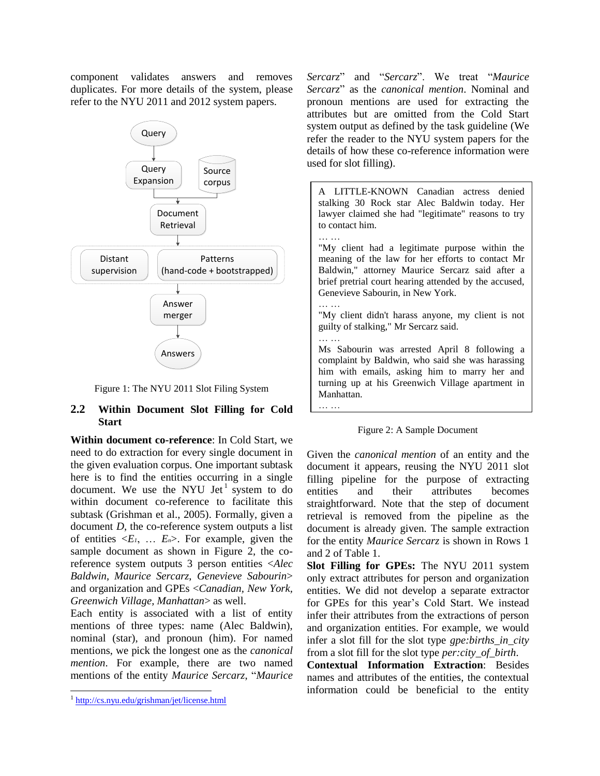component validates answers and removes duplicates. For more details of the system, please refer to the NYU 2011 and 2012 system papers.



Figure 1: The NYU 2011 Slot Filing System

# **2.2 Within Document Slot Filling for Cold Start**

**Within document co-reference**: In Cold Start, we need to do extraction for every single document in the given evaluation corpus. One important subtask here is to find the entities occurring in a single document. We use the NYU Jet<sup>1</sup> system to do within document co-reference to facilitate this subtask (Grishman et al., 2005). Formally, given a document *D*, the co-reference system outputs a list of entities  $\langle E_1, \ldots, E_n \rangle$ . For example, given the sample document as shown in Figure 2, the coreference system outputs 3 person entities <*Alec Baldwin*, *Maurice Sercarz*, *Genevieve Sabourin*> and organization and GPEs <*Canadian, New York, Greenwich Village, Manhattan*> as well.

Each entity is associated with a list of entity mentions of three types: name (Alec Baldwin), nominal (star), and pronoun (him). For named mentions, we pick the longest one as the *canonical mention*. For example, there are two named mentions of the entity *Maurice Sercarz*, "*Maurice*  *Sercarz*‖ and ―*Sercarz*‖. We treat ―*Maurice Sercarz*‖ as the *canonical mention*. Nominal and pronoun mentions are used for extracting the attributes but are omitted from the Cold Start system output as defined by the task guideline (We refer the reader to the NYU system papers for the details of how these co-reference information were used for slot filling).



Figure 2: A Sample Document

Given the *canonical mention* of an entity and the document it appears, reusing the NYU 2011 slot filling pipeline for the purpose of extracting entities and their attributes becomes straightforward. Note that the step of document retrieval is removed from the pipeline as the document is already given. The sample extraction for the entity *Maurice Sercarz* is shown in Rows 1 and 2 of Table 1.

**Slot Filling for GPEs:** The NYU 2011 system only extract attributes for person and organization entities. We did not develop a separate extractor for GPEs for this year's Cold Start. We instead infer their attributes from the extractions of person and organization entities. For example, we would infer a slot fill for the slot type *gpe:births\_in\_city* from a slot fill for the slot type *per:city\_of\_birth*.

**Contextual Information Extraction**: Besides names and attributes of the entities, the contextual information could be beneficial to the entity

 $\overline{\phantom{a}}$ <sup>1</sup> <http://cs.nyu.edu/grishman/jet/license.html>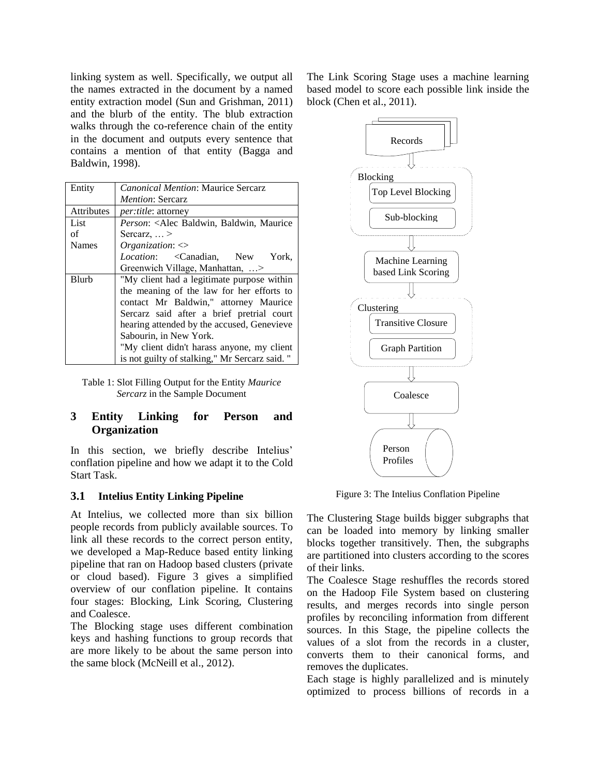linking system as well. Specifically, we output all the names extracted in the document by a named entity extraction model (Sun and Grishman, 2011) and the blurb of the entity. The blub extraction walks through the co-reference chain of the entity in the document and outputs every sentence that contains a mention of that entity (Bagga and Baldwin, 1998).

| Entity       | <b>Canonical Mention: Maurice Sercarz</b>                                                                                                                                                                                                                                                                                                            |  |  |  |
|--------------|------------------------------------------------------------------------------------------------------------------------------------------------------------------------------------------------------------------------------------------------------------------------------------------------------------------------------------------------------|--|--|--|
|              | <i>Mention: Sercarz</i>                                                                                                                                                                                                                                                                                                                              |  |  |  |
| Attributes   | per:title: attorney                                                                                                                                                                                                                                                                                                                                  |  |  |  |
| List         | Person: <alec baldwin,="" maurice<="" td=""></alec>                                                                                                                                                                                                                                                                                                  |  |  |  |
| of           | Sercarz, $\ldots$ >                                                                                                                                                                                                                                                                                                                                  |  |  |  |
| <b>Names</b> | Organization: $\langle \rangle$                                                                                                                                                                                                                                                                                                                      |  |  |  |
|              | Location: < Canadian, New York,                                                                                                                                                                                                                                                                                                                      |  |  |  |
|              | Greenwich Village, Manhattan, >                                                                                                                                                                                                                                                                                                                      |  |  |  |
| <b>Blurb</b> | "My client had a legitimate purpose within<br>the meaning of the law for her efforts to<br>contact Mr Baldwin," attorney Maurice<br>Sercarz said after a brief pretrial court<br>hearing attended by the accused, Genevieve<br>Sabourin, in New York.<br>"My client didn't harass anyone, my client<br>is not guilty of stalking," Mr Sercarz said." |  |  |  |

Table 1: Slot Filling Output for the Entity *Maurice Sercarz* in the Sample Document

# **3 Entity Linking for Person and Organization**

In this section, we briefly describe Intelius' conflation pipeline and how we adapt it to the Cold Start Task.

### **3.1 Intelius Entity Linking Pipeline**

At Intelius, we collected more than six billion people records from publicly available sources. To link all these records to the correct person entity, we developed a Map-Reduce based entity linking pipeline that ran on Hadoop based clusters (private or cloud based). Figure 3 gives a simplified overview of our conflation pipeline. It contains four stages: Blocking, Link Scoring, Clustering and Coalesce.

The Blocking stage uses different combination keys and hashing functions to group records that are more likely to be about the same person into the same block (McNeill et al., 2012).

The Link Scoring Stage uses a machine learning based model to score each possible link inside the block (Chen et al., 2011).



Figure 3: The Intelius Conflation Pipeline

The Clustering Stage builds bigger subgraphs that can be loaded into memory by linking smaller blocks together transitively. Then, the subgraphs are partitioned into clusters according to the scores of their links.

The Coalesce Stage reshuffles the records stored on the Hadoop File System based on clustering results, and merges records into single person profiles by reconciling information from different sources. In this Stage, the pipeline collects the values of a slot from the records in a cluster, converts them to their canonical forms, and removes the duplicates.

Each stage is highly parallelized and is minutely optimized to process billions of records in a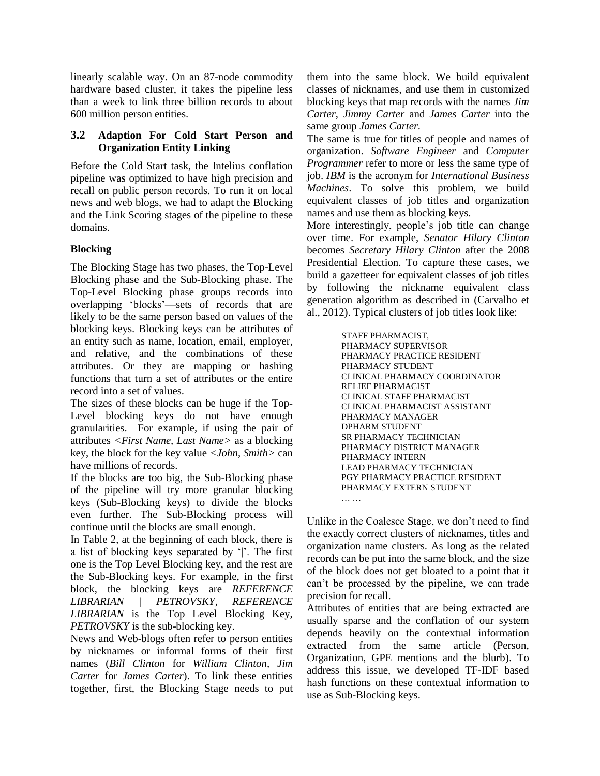linearly scalable way. On an 87-node commodity hardware based cluster, it takes the pipeline less than a week to link three billion records to about 600 million person entities.

# **3.2 Adaption For Cold Start Person and Organization Entity Linking**

Before the Cold Start task, the Intelius conflation pipeline was optimized to have high precision and recall on public person records. To run it on local news and web blogs, we had to adapt the Blocking and the Link Scoring stages of the pipeline to these domains.

# **Blocking**

The Blocking Stage has two phases, the Top-Level Blocking phase and the Sub-Blocking phase. The Top-Level Blocking phase groups records into overlapping ‗blocks'—sets of records that are likely to be the same person based on values of the blocking keys. Blocking keys can be attributes of an entity such as name, location, email, employer, and relative, and the combinations of these attributes. Or they are mapping or hashing functions that turn a set of attributes or the entire record into a set of values.

The sizes of these blocks can be huge if the Top-Level blocking keys do not have enough granularities. For example, if using the pair of attributes *<First Name, Last Name>* as a blocking key, the block for the key value *<John, Smith>* can have millions of records.

If the blocks are too big, the Sub-Blocking phase of the pipeline will try more granular blocking keys (Sub-Blocking keys) to divide the blocks even further. The Sub-Blocking process will continue until the blocks are small enough.

In Table 2, at the beginning of each block, there is a list of blocking keys separated by '|'. The first one is the Top Level Blocking key, and the rest are the Sub-Blocking keys. For example, in the first block, the blocking keys are *REFERENCE LIBRARIAN | PETROVSKY*, *REFERENCE LIBRARIAN* is the Top Level Blocking Key, *PETROVSKY* is the sub-blocking key.

News and Web-blogs often refer to person entities by nicknames or informal forms of their first names (*Bill Clinton* for *William Clinton*, *Jim Carter* for *James Carter*). To link these entities together, first, the Blocking Stage needs to put them into the same block. We build equivalent classes of nicknames, and use them in customized blocking keys that map records with the names *Jim Carter*, *Jimmy Carter* and *James Carter* into the same group *James Carter.*

The same is true for titles of people and names of organization. *Software Engineer* and *Computer Programmer* refer to more or less the same type of job. *IBM* is the acronym for *International Business Machines*. To solve this problem, we build equivalent classes of job titles and organization names and use them as blocking keys.

More interestingly, people's job title can change over time. For example, *Senator Hilary Clinton* becomes *Secretary Hilary Clinton* after the 2008 Presidential Election. To capture these cases, we build a gazetteer for equivalent classes of job titles by following the nickname equivalent class generation algorithm as described in (Carvalho et al., 2012). Typical clusters of job titles look like:

> STAFF PHARMACIST, PHARMACY SUPERVISOR PHARMACY PRACTICE RESIDENT PHARMACY STUDENT CLINICAL PHARMACY COORDINATOR RELIEF PHARMACIST CLINICAL STAFF PHARMACIST CLINICAL PHARMACIST ASSISTANT PHARMACY MANAGER DPHARM STUDENT SR PHARMACY TECHNICIAN PHARMACY DISTRICT MANAGER PHARMACY INTERN LEAD PHARMACY TECHNICIAN PGY PHARMACY PRACTICE RESIDENT PHARMACY EXTERN STUDENT

Unlike in the Coalesce Stage, we don't need to find the exactly correct clusters of nicknames, titles and organization name clusters. As long as the related records can be put into the same block, and the size of the block does not get bloated to a point that it can't be processed by the pipeline, we can trade precision for recall.

… …

Attributes of entities that are being extracted are usually sparse and the conflation of our system depends heavily on the contextual information extracted from the same article (Person, Organization, GPE mentions and the blurb). To address this issue, we developed TF-IDF based hash functions on these contextual information to use as Sub-Blocking keys.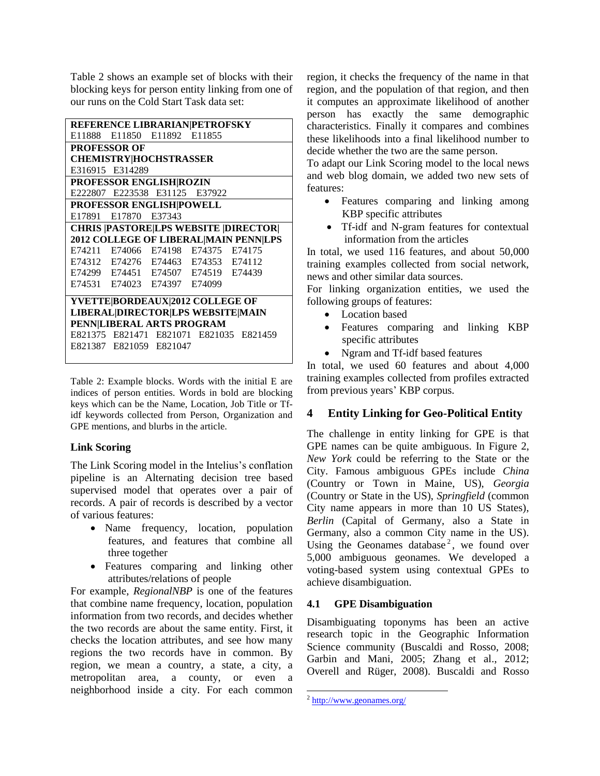Table 2 shows an example set of blocks with their blocking keys for person entity linking from one of our runs on the Cold Start Task data set:

|                                          | REFERENCE LIBRARIAN PETROFSKY      |  |  |                                              |  |
|------------------------------------------|------------------------------------|--|--|----------------------------------------------|--|
|                                          | E11888 E11850 E11892 E11855        |  |  |                                              |  |
|                                          | <b>PROFESSOR OF</b>                |  |  |                                              |  |
|                                          | <b>CHEMISTRY HOCHSTRASSER</b>      |  |  |                                              |  |
|                                          | E316915 E314289                    |  |  |                                              |  |
|                                          | PROFESSOR ENGLISH ROZIN            |  |  |                                              |  |
|                                          | E222807 E223538 E31125 E37922      |  |  |                                              |  |
|                                          | PROFESSOR ENGLISH POWELL           |  |  |                                              |  |
|                                          | E17891 E17870 E37343               |  |  |                                              |  |
|                                          |                                    |  |  | <b>CHRIS  PASTORE LPS WEBSITE  DIRECTOR </b> |  |
|                                          |                                    |  |  | 2012 COLLEGE OF LIBERAL MAIN PENN LPS        |  |
|                                          | E74211 E74066 E74198 E74375 E74175 |  |  |                                              |  |
|                                          | E74312 E74276 E74463 E74353 E74112 |  |  |                                              |  |
|                                          | E74299 E74451 E74507 E74519 E74439 |  |  |                                              |  |
|                                          | E74531 E74023 E74397 E74099        |  |  |                                              |  |
| YVETTE BORDEAUX 2012 COLLEGE OF          |                                    |  |  |                                              |  |
| <b>LIBERAL DIRECTOR LPS WEBSITE MAIN</b> |                                    |  |  |                                              |  |
| PENN LIBERAL ARTS PROGRAM                |                                    |  |  |                                              |  |
|                                          |                                    |  |  | E821375 E821471 E821071 E821035 E821459      |  |
|                                          | E821387 E821059 E821047            |  |  |                                              |  |

Table 2: Example blocks. Words with the initial E are indices of person entities. Words in bold are blocking keys which can be the Name, Location, Job Title or Tfidf keywords collected from Person, Organization and GPE mentions, and blurbs in the article.

# **Link Scoring**

The Link Scoring model in the Intelius's conflation pipeline is an Alternating decision tree based supervised model that operates over a pair of records. A pair of records is described by a vector of various features:

- Name frequency, location, population features, and features that combine all three together
- Features comparing and linking other attributes/relations of people

For example, *RegionalNBP* is one of the features that combine name frequency, location, population information from two records, and decides whether the two records are about the same entity. First, it checks the location attributes, and see how many regions the two records have in common. By region, we mean a country, a state, a city, a metropolitan area, a county, or even a neighborhood inside a city. For each common region, it checks the frequency of the name in that region, and the population of that region, and then it computes an approximate likelihood of another person has exactly the same demographic characteristics. Finally it compares and combines these likelihoods into a final likelihood number to decide whether the two are the same person.

To adapt our Link Scoring model to the local news and web blog domain, we added two new sets of features:

- Features comparing and linking among KBP specific attributes
- Tf-idf and N-gram features for contextual information from the articles

In total, we used 116 features, and about 50,000 training examples collected from social network, news and other similar data sources.

For linking organization entities, we used the following groups of features:

- Location based
- Features comparing and linking KBP specific attributes
- Ngram and Tf-idf based features

In total, we used 60 features and about 4,000 training examples collected from profiles extracted from previous years' KBP corpus.

# **4 Entity Linking for Geo-Political Entity**

The challenge in entity linking for GPE is that GPE names can be quite ambiguous. In Figure 2, *New York* could be referring to the State or the City. Famous ambiguous GPEs include *China* (Country or Town in Maine, US), *Georgia* (Country or State in the US), *Springfield* (common City name appears in more than 10 US States), *Berlin* (Capital of Germany, also a State in Germany, also a common City name in the US). Using the Geonames database<sup>2</sup>, we found over 5,000 ambiguous geonames. We developed a voting-based system using contextual GPEs to achieve disambiguation.

# **4.1 GPE Disambiguation**

Disambiguating toponyms has been an active research topic in the Geographic Information Science community (Buscaldi and Rosso, 2008; Garbin and Mani, 2005; Zhang et al., 2012; Overell and Rüger, 2008). Buscaldi and Rosso

 $\overline{\phantom{a}}$ 

<sup>&</sup>lt;sup>2</sup> <http://www.geonames.org/>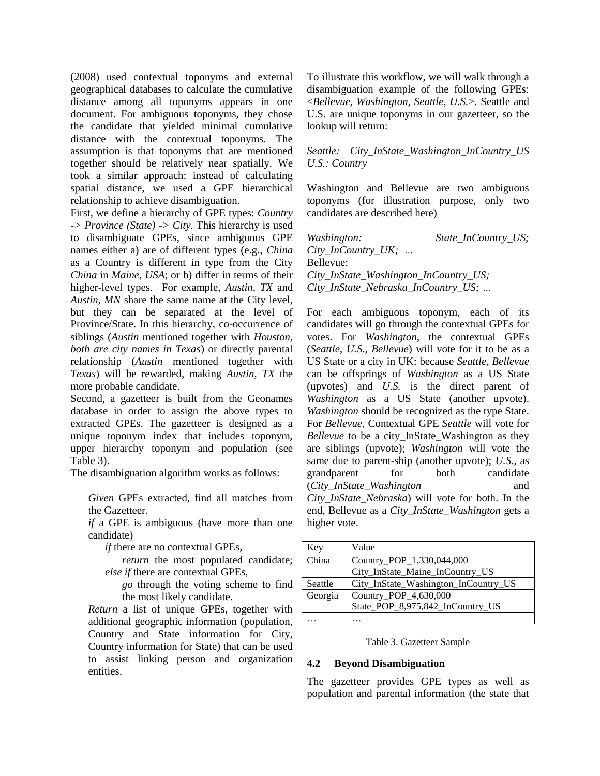(2008) used contextual toponyms and external geographical databases to calculate the cumulative distance among all toponyms appears in one document. For ambiguous toponyms, they chose the candidate that yielded minimal cumulative distance with the contextual toponyms. The assumption is that toponyms that are mentioned together should be relatively near spatially. We took a similar approach: instead of calculating spatial distance, we used a GPE hierarchical relationship to achieve disambiguation.

First, we define a hierarchy of GPE types: *Country -> Province (State) -> City*. This hierarchy is used to disambiguate GPEs, since ambiguous GPE names either a) are of different types (e.g., *China* as a Country is different in type from the City *China* in *Maine, USA*; or b) differ in terms of their higher-level types. For example, *Austin, TX* and *Austin, MN* share the same name at the City level, but they can be separated at the level of Province/State. In this hierarchy, co-occurrence of siblings (*Austin* mentioned together with *Houston, both are city names in Texas*) or directly parental relationship (*Austin* mentioned together with *Texas*) will be rewarded, making *Austin, TX* the more probable candidate.

Second, a gazetteer is built from the Geonames database in order to assign the above types to extracted GPEs. The gazetteer is designed as a unique toponym index that includes toponym, upper hierarchy toponym and population (see Table 3).

The disambiguation algorithm works as follows:

*Given* GPEs extracted, find all matches from the Gazetteer.

*if* a GPE is ambiguous (have more than one candidate)

*if* there are no contextual GPEs,

*return* the most populated candidate; *else if* there are contextual GPEs,

*go* through the voting scheme to find the most likely candidate.

*Return* a list of unique GPEs, together with additional geographic information (population, Country and State information for City, Country information for State) that can be used to assist linking person and organization entities.

To illustrate this workflow, we will walk through a disambiguation example of the following GPEs: <*Bellevue, Washington, Seattle, U.S.*>. Seattle and U.S. are unique toponyms in our gazetteer, so the lookup will return:

### *Seattle: City\_InState\_Washington\_InCountry\_US U.S.: Country*

Washington and Bellevue are two ambiguous toponyms (for illustration purpose, only two candidates are described here)

*Washington: State\_InCountry\_US; City\_InCountry\_UK; …* Bellevue: *City\_InState\_Washington\_InCountry\_US; City\_InState\_Nebraska\_InCountry\_US; …*

For each ambiguous toponym, each of its candidates will go through the contextual GPEs for votes. For *Washington*, the contextual GPEs (*Seattle*, *U.S.*, *Bellevue*) will vote for it to be as a US State or a city in UK: because *Seattle*, *Bellevue* can be offsprings of *Washington* as a US State (upvotes) and *U.S.* is the direct parent of *Washington* as a US State (another upvote). *Washington* should be recognized as the type State. For *Bellevue*, Contextual GPE *Seattle* will vote for *Bellevue* to be a city\_InState\_Washington as they are siblings (upvote); *Washington* will vote the same due to parent-ship (another upvote); *U.S.*, as grandparent for both candidate (*City\_InState\_Washington* and *City\_InState\_Nebraska*) will vote for both. In the end, Bellevue as a *City\_InState\_Washington* gets a higher vote.

| Key     | Value                                |
|---------|--------------------------------------|
| China   | Country_POP_1,330,044,000            |
|         | City_InState_Maine_InCountry_US      |
| Seattle | City_InState_Washington_InCountry_US |
| Georgia | Country_POP_4,630,000                |
|         | State_POP_8,975,842_InCountry_US     |
|         |                                      |

#### Table 3. Gazetteer Sample

### **4.2 Beyond Disambiguation**

The gazetteer provides GPE types as well as population and parental information (the state that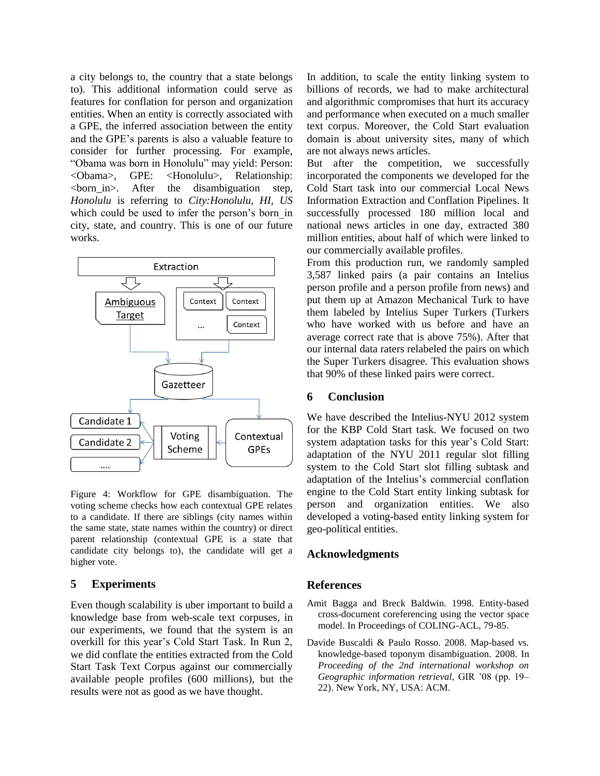a city belongs to, the country that a state belongs to). This additional information could serve as features for conflation for person and organization entities. When an entity is correctly associated with a GPE, the inferred association between the entity and the GPE's parents is also a valuable feature to consider for further processing. For example, ―Obama was born in Honolulu‖ may yield: Person: <Obama>, GPE: <Honolulu>, Relationship: <born\_in>. After the disambiguation step, *Honolulu* is referring to *City:Honolulu, HI, US* which could be used to infer the person's born in city, state, and country. This is one of our future works.



Figure 4: Workflow for GPE disambiguation. The voting scheme checks how each contextual GPE relates to a candidate. If there are siblings (city names within the same state, state names within the country) or direct parent relationship (contextual GPE is a state that candidate city belongs to), the candidate will get a higher vote.

#### **5 Experiments**

Even though scalability is uber important to build a knowledge base from web-scale text corpuses, in our experiments, we found that the system is an overkill for this year's Cold Start Task. In Run 2, we did conflate the entities extracted from the Cold Start Task Text Corpus against our commercially available people profiles (600 millions), but the results were not as good as we have thought.

In addition, to scale the entity linking system to billions of records, we had to make architectural and algorithmic compromises that hurt its accuracy and performance when executed on a much smaller text corpus. Moreover, the Cold Start evaluation domain is about university sites, many of which are not always news articles.

But after the competition, we successfully incorporated the components we developed for the Cold Start task into our commercial Local News Information Extraction and Conflation Pipelines. It successfully processed 180 million local and national news articles in one day, extracted 380 million entities, about half of which were linked to our commercially available profiles.

From this production run, we randomly sampled 3,587 linked pairs (a pair contains an Intelius person profile and a person profile from news) and put them up at Amazon Mechanical Turk to have them labeled by Intelius Super Turkers (Turkers who have worked with us before and have an average correct rate that is above 75%). After that our internal data raters relabeled the pairs on which the Super Turkers disagree. This evaluation shows that 90% of these linked pairs were correct.

#### **6 Conclusion**

We have described the Intelius-NYU 2012 system for the KBP Cold Start task. We focused on two system adaptation tasks for this year's Cold Start: adaptation of the NYU 2011 regular slot filling system to the Cold Start slot filling subtask and adaptation of the Intelius's commercial conflation engine to the Cold Start entity linking subtask for person and organization entities. We also developed a voting-based entity linking system for geo-political entities.

#### **Acknowledgments**

#### **References**

- Amit Bagga and Breck Baldwin. 1998. Entity-based cross-document coreferencing using the vector space model. In Proceedings of COLING-ACL, 79-85.
- Davide Buscaldi & Paulo Rosso. 2008. Map-based vs. knowledge-based toponym disambiguation. 2008. In *Proceeding of the 2nd international workshop on Geographic information retrieval*, GIR '08 (pp. 19– 22). New York, NY, USA: ACM.